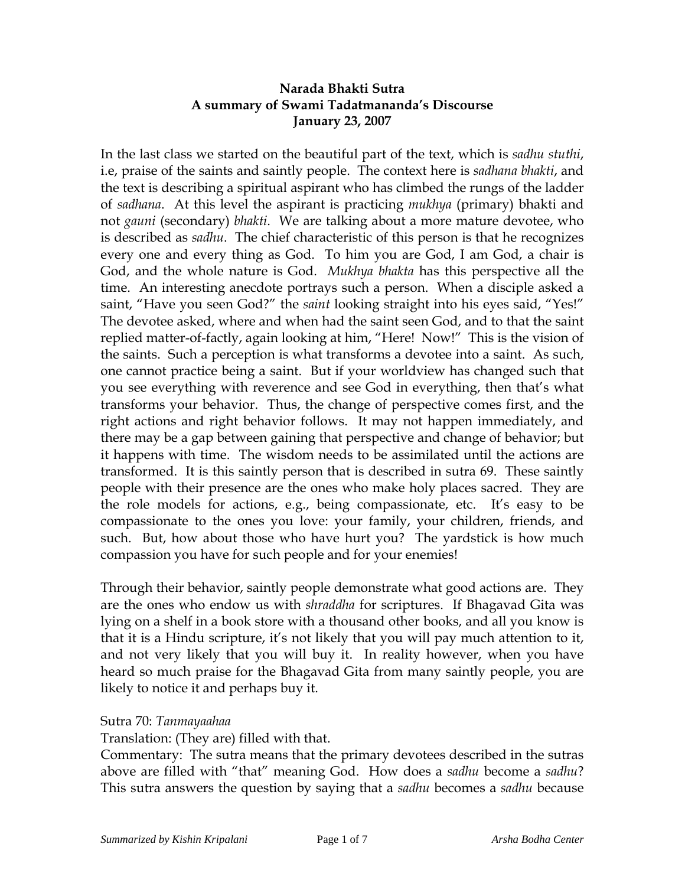# **Narada Bhakti Sutra A summary of Swami Tadatmananda's Discourse January 23, 2007**

In the last class we started on the beautiful part of the text, which is *sadhu stuthi*, i.e, praise of the saints and saintly people. The context here is *sadhana bhakti*, and the text is describing a spiritual aspirant who has climbed the rungs of the ladder of *sadhana*. At this level the aspirant is practicing *mukhya* (primary) bhakti and not *gauni* (secondary) *bhakti*. We are talking about a more mature devotee, who is described as *sadhu*. The chief characteristic of this person is that he recognizes every one and every thing as God. To him you are God, I am God, a chair is God, and the whole nature is God. *Mukhya bhakta* has this perspective all the time. An interesting anecdote portrays such a person. When a disciple asked a saint, "Have you seen God?" the *saint* looking straight into his eyes said, "Yes!" The devotee asked, where and when had the saint seen God, and to that the saint replied matter-of-factly, again looking at him, "Here! Now!" This is the vision of the saints. Such a perception is what transforms a devotee into a saint. As such, one cannot practice being a saint. But if your worldview has changed such that you see everything with reverence and see God in everything, then that's what transforms your behavior. Thus, the change of perspective comes first, and the right actions and right behavior follows. It may not happen immediately, and there may be a gap between gaining that perspective and change of behavior; but it happens with time. The wisdom needs to be assimilated until the actions are transformed. It is this saintly person that is described in sutra 69. These saintly people with their presence are the ones who make holy places sacred. They are the role models for actions, e.g., being compassionate, etc. It's easy to be compassionate to the ones you love: your family, your children, friends, and such. But, how about those who have hurt you? The yardstick is how much compassion you have for such people and for your enemies!

Through their behavior, saintly people demonstrate what good actions are. They are the ones who endow us with *shraddha* for scriptures. If Bhagavad Gita was lying on a shelf in a book store with a thousand other books, and all you know is that it is a Hindu scripture, it's not likely that you will pay much attention to it, and not very likely that you will buy it. In reality however, when you have heard so much praise for the Bhagavad Gita from many saintly people, you are likely to notice it and perhaps buy it.

#### Sutra 70: *Tanmayaahaa*

Translation: (They are) filled with that.

Commentary: The sutra means that the primary devotees described in the sutras above are filled with "that" meaning God. How does a *sadhu* become a *sadhu*? This sutra answers the question by saying that a *sadhu* becomes a *sadhu* because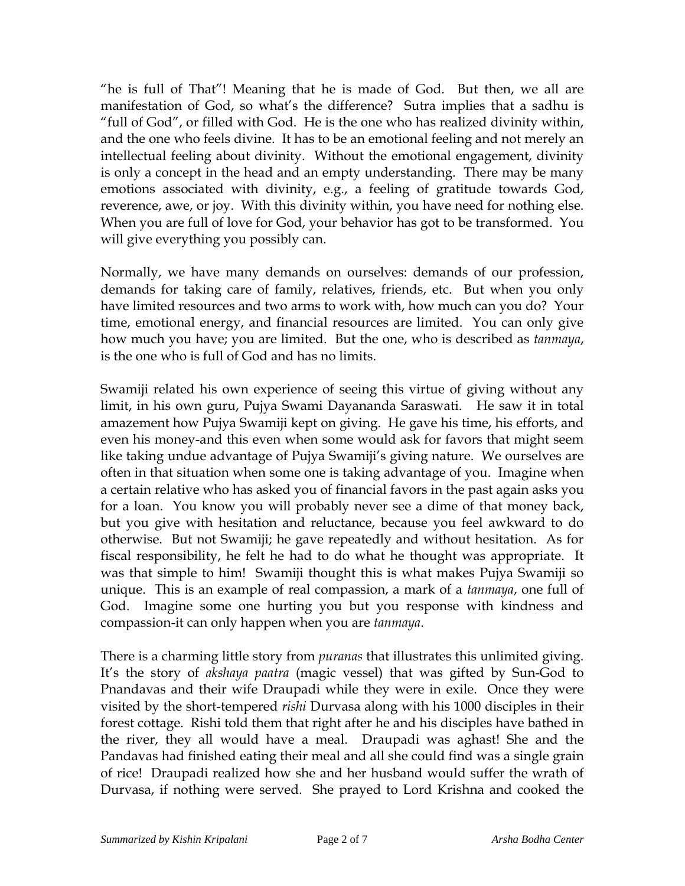"he is full of That"! Meaning that he is made of God. But then, we all are manifestation of God, so what's the difference? Sutra implies that a sadhu is "full of God", or filled with God. He is the one who has realized divinity within, and the one who feels divine. It has to be an emotional feeling and not merely an intellectual feeling about divinity. Without the emotional engagement, divinity is only a concept in the head and an empty understanding. There may be many emotions associated with divinity, e.g., a feeling of gratitude towards God, reverence, awe, or joy. With this divinity within, you have need for nothing else. When you are full of love for God, your behavior has got to be transformed. You will give everything you possibly can.

Normally, we have many demands on ourselves: demands of our profession, demands for taking care of family, relatives, friends, etc. But when you only have limited resources and two arms to work with, how much can you do? Your time, emotional energy, and financial resources are limited. You can only give how much you have; you are limited. But the one, who is described as *tanmaya*, is the one who is full of God and has no limits.

Swamiji related his own experience of seeing this virtue of giving without any limit, in his own guru, Pujya Swami Dayananda Saraswati. He saw it in total amazement how Pujya Swamiji kept on giving. He gave his time, his efforts, and even his money-and this even when some would ask for favors that might seem like taking undue advantage of Pujya Swamiji's giving nature. We ourselves are often in that situation when some one is taking advantage of you. Imagine when a certain relative who has asked you of financial favors in the past again asks you for a loan. You know you will probably never see a dime of that money back, but you give with hesitation and reluctance, because you feel awkward to do otherwise. But not Swamiji; he gave repeatedly and without hesitation. As for fiscal responsibility, he felt he had to do what he thought was appropriate. It was that simple to him! Swamiji thought this is what makes Pujya Swamiji so unique. This is an example of real compassion, a mark of a *tanmaya*, one full of God. Imagine some one hurting you but you response with kindness and compassion-it can only happen when you are *tanmaya*.

There is a charming little story from *puranas* that illustrates this unlimited giving. It's the story of *akshaya paatra* (magic vessel) that was gifted by Sun-God to Pnandavas and their wife Draupadi while they were in exile. Once they were visited by the short-tempered *rishi* Durvasa along with his 1000 disciples in their forest cottage. Rishi told them that right after he and his disciples have bathed in the river, they all would have a meal. Draupadi was aghast! She and the Pandavas had finished eating their meal and all she could find was a single grain of rice! Draupadi realized how she and her husband would suffer the wrath of Durvasa, if nothing were served. She prayed to Lord Krishna and cooked the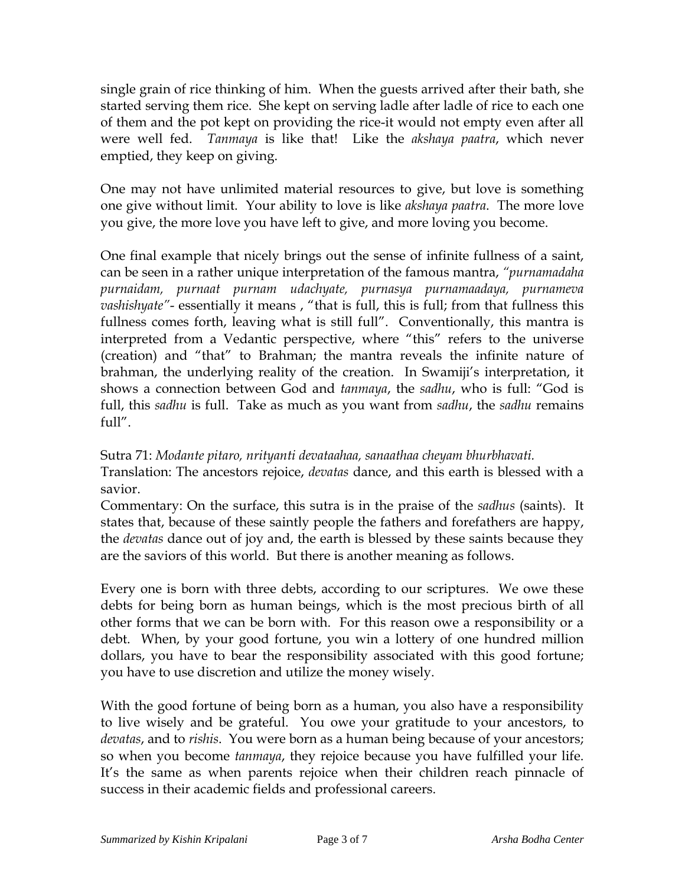single grain of rice thinking of him. When the guests arrived after their bath, she started serving them rice. She kept on serving ladle after ladle of rice to each one of them and the pot kept on providing the rice-it would not empty even after all were well fed. *Tanmaya* is like that! Like the *akshaya paatra*, which never emptied, they keep on giving.

One may not have unlimited material resources to give, but love is something one give without limit. Your ability to love is like *akshaya paatra*. The more love you give, the more love you have left to give, and more loving you become.

One final example that nicely brings out the sense of infinite fullness of a saint, can be seen in a rather unique interpretation of the famous mantra, *"purnamadaha purnaidam, purnaat purnam udachyate, purnasya purnamaadaya, purnameva vashishyate"*- essentially it means , "that is full, this is full; from that fullness this fullness comes forth, leaving what is still full". Conventionally, this mantra is interpreted from a Vedantic perspective, where "this" refers to the universe (creation) and "that" to Brahman; the mantra reveals the infinite nature of brahman, the underlying reality of the creation. In Swamiji's interpretation, it shows a connection between God and *tanmaya*, the *sadhu*, who is full: "God is full, this *sadhu* is full. Take as much as you want from *sadhu*, the *sadhu* remains  $f_{11}$ ] $''$ 

Sutra 71: *Modante pitaro, nrityanti devataahaa, sanaathaa cheyam bhurbhavati.* Translation: The ancestors rejoice, *devatas* dance, and this earth is blessed with a savior.

Commentary: On the surface, this sutra is in the praise of the *sadhus* (saints). It states that, because of these saintly people the fathers and forefathers are happy, the *devatas* dance out of joy and, the earth is blessed by these saints because they are the saviors of this world. But there is another meaning as follows.

Every one is born with three debts, according to our scriptures. We owe these debts for being born as human beings, which is the most precious birth of all other forms that we can be born with. For this reason owe a responsibility or a debt. When, by your good fortune, you win a lottery of one hundred million dollars, you have to bear the responsibility associated with this good fortune; you have to use discretion and utilize the money wisely.

With the good fortune of being born as a human, you also have a responsibility to live wisely and be grateful. You owe your gratitude to your ancestors, to *devatas*, and to *rishis*. You were born as a human being because of your ancestors; so when you become *tanmaya*, they rejoice because you have fulfilled your life. It's the same as when parents rejoice when their children reach pinnacle of success in their academic fields and professional careers.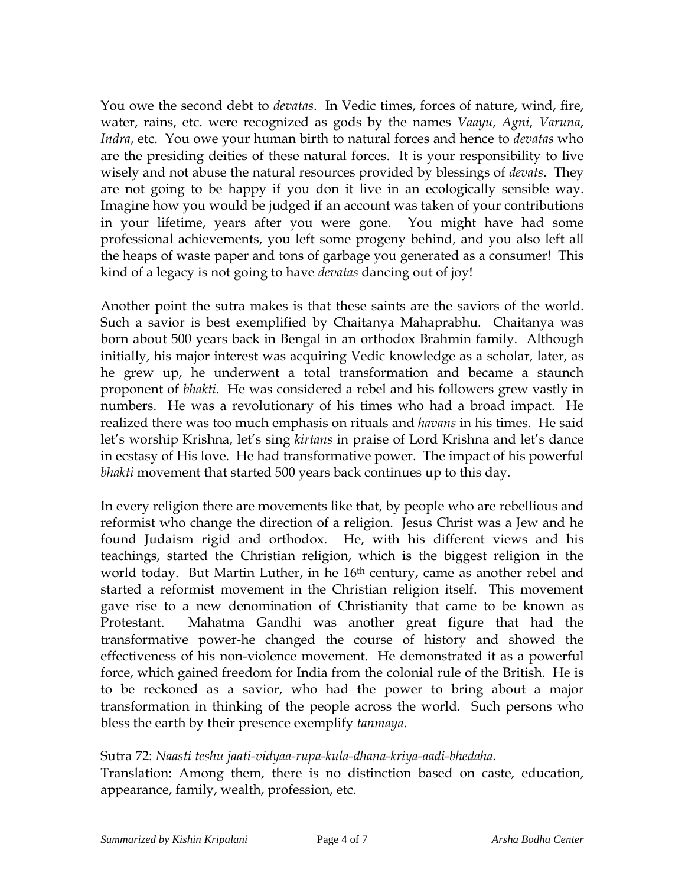You owe the second debt to *devatas*. In Vedic times, forces of nature, wind, fire, water, rains, etc. were recognized as gods by the names *Vaayu*, *Agni*, *Varuna*, *Indra*, etc. You owe your human birth to natural forces and hence to *devatas* who are the presiding deities of these natural forces. It is your responsibility to live wisely and not abuse the natural resources provided by blessings of *devats*. They are not going to be happy if you don it live in an ecologically sensible way. Imagine how you would be judged if an account was taken of your contributions in your lifetime, years after you were gone. You might have had some professional achievements, you left some progeny behind, and you also left all the heaps of waste paper and tons of garbage you generated as a consumer! This kind of a legacy is not going to have *devatas* dancing out of joy!

Another point the sutra makes is that these saints are the saviors of the world. Such a savior is best exemplified by Chaitanya Mahaprabhu. Chaitanya was born about 500 years back in Bengal in an orthodox Brahmin family. Although initially, his major interest was acquiring Vedic knowledge as a scholar, later, as he grew up, he underwent a total transformation and became a staunch proponent of *bhakti*. He was considered a rebel and his followers grew vastly in numbers. He was a revolutionary of his times who had a broad impact. He realized there was too much emphasis on rituals and *havans* in his times. He said let's worship Krishna, let's sing *kirtans* in praise of Lord Krishna and let's dance in ecstasy of His love. He had transformative power. The impact of his powerful *bhakti* movement that started 500 years back continues up to this day.

In every religion there are movements like that, by people who are rebellious and reformist who change the direction of a religion. Jesus Christ was a Jew and he found Judaism rigid and orthodox. He, with his different views and his teachings, started the Christian religion, which is the biggest religion in the world today. But Martin Luther, in he 16<sup>th</sup> century, came as another rebel and started a reformist movement in the Christian religion itself. This movement gave rise to a new denomination of Christianity that came to be known as Protestant. Mahatma Gandhi was another great figure that had the transformative power-he changed the course of history and showed the effectiveness of his non-violence movement. He demonstrated it as a powerful force, which gained freedom for India from the colonial rule of the British. He is to be reckoned as a savior, who had the power to bring about a major transformation in thinking of the people across the world. Such persons who bless the earth by their presence exemplify *tanmaya*.

## Sutra 72: *Naasti teshu jaati-vidyaa-rupa-kula-dhana-kriya-aadi-bhedaha.*

Translation: Among them, there is no distinction based on caste, education, appearance, family, wealth, profession, etc.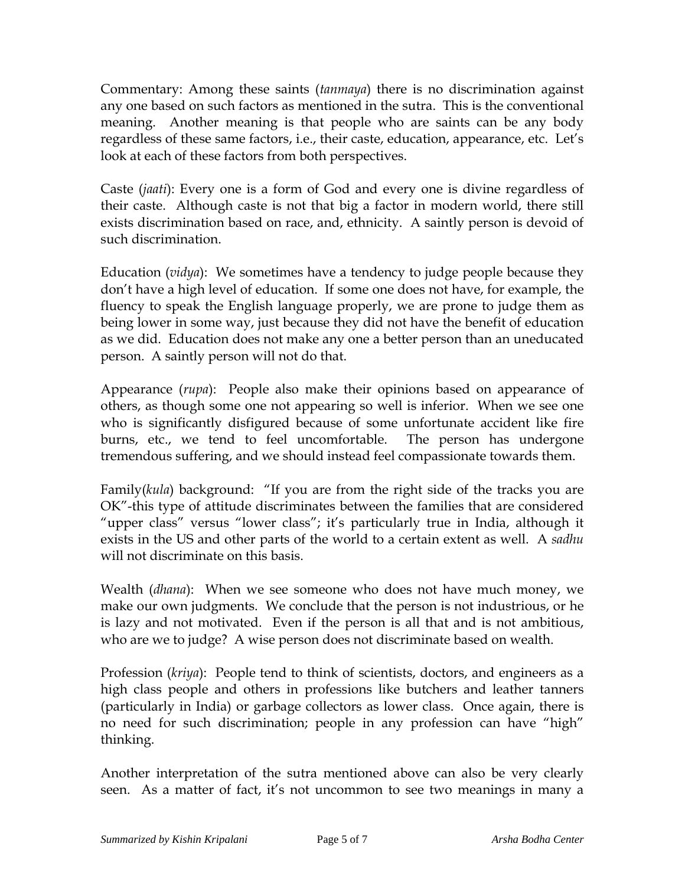Commentary: Among these saints (*tanmaya*) there is no discrimination against any one based on such factors as mentioned in the sutra. This is the conventional meaning. Another meaning is that people who are saints can be any body regardless of these same factors, i.e., their caste, education, appearance, etc. Let's look at each of these factors from both perspectives.

Caste (*jaati*): Every one is a form of God and every one is divine regardless of their caste. Although caste is not that big a factor in modern world, there still exists discrimination based on race, and, ethnicity. A saintly person is devoid of such discrimination.

Education (*vidya*): We sometimes have a tendency to judge people because they don't have a high level of education. If some one does not have, for example, the fluency to speak the English language properly, we are prone to judge them as being lower in some way, just because they did not have the benefit of education as we did. Education does not make any one a better person than an uneducated person. A saintly person will not do that.

Appearance (*rupa*): People also make their opinions based on appearance of others, as though some one not appearing so well is inferior. When we see one who is significantly disfigured because of some unfortunate accident like fire burns, etc., we tend to feel uncomfortable. The person has undergone tremendous suffering, and we should instead feel compassionate towards them.

Family(*kula*) background: "If you are from the right side of the tracks you are OK"-this type of attitude discriminates between the families that are considered "upper class" versus "lower class"; it's particularly true in India, although it exists in the US and other parts of the world to a certain extent as well. A *sadhu* will not discriminate on this basis.

Wealth (*dhana*): When we see someone who does not have much money, we make our own judgments. We conclude that the person is not industrious, or he is lazy and not motivated. Even if the person is all that and is not ambitious, who are we to judge? A wise person does not discriminate based on wealth.

Profession (*kriya*): People tend to think of scientists, doctors, and engineers as a high class people and others in professions like butchers and leather tanners (particularly in India) or garbage collectors as lower class. Once again, there is no need for such discrimination; people in any profession can have "high" thinking.

Another interpretation of the sutra mentioned above can also be very clearly seen. As a matter of fact, it's not uncommon to see two meanings in many a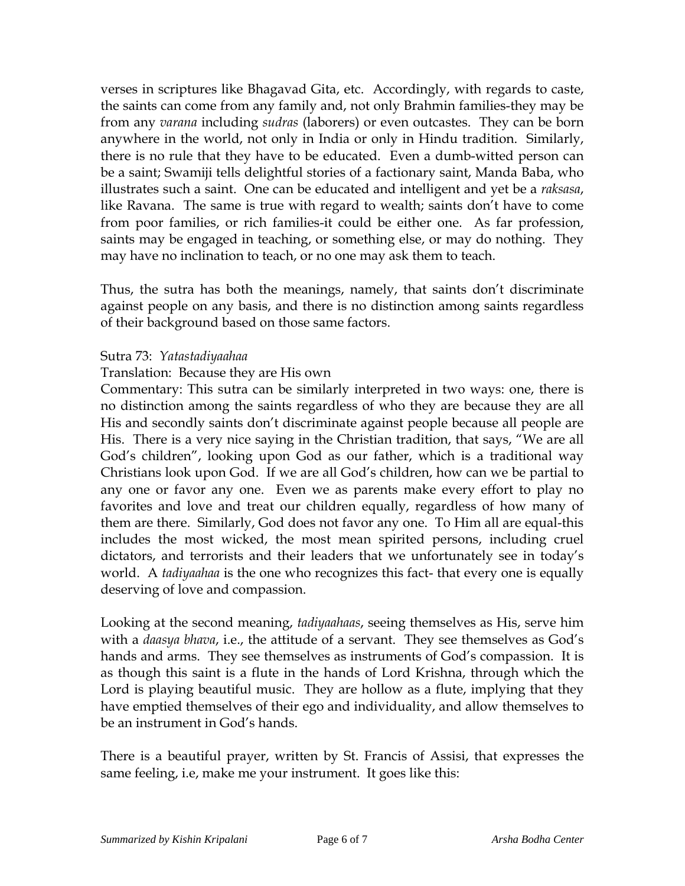verses in scriptures like Bhagavad Gita, etc. Accordingly, with regards to caste, the saints can come from any family and, not only Brahmin families-they may be from any *varana* including *sudras* (laborers) or even outcastes. They can be born anywhere in the world, not only in India or only in Hindu tradition. Similarly, there is no rule that they have to be educated. Even a dumb-witted person can be a saint; Swamiji tells delightful stories of a factionary saint, Manda Baba, who illustrates such a saint. One can be educated and intelligent and yet be a *raksasa*, like Ravana. The same is true with regard to wealth; saints don't have to come from poor families, or rich families-it could be either one. As far profession, saints may be engaged in teaching, or something else, or may do nothing. They may have no inclination to teach, or no one may ask them to teach.

Thus, the sutra has both the meanings, namely, that saints don't discriminate against people on any basis, and there is no distinction among saints regardless of their background based on those same factors.

### Sutra 73: *Yatastadiyaahaa*

### Translation: Because they are His own

Commentary: This sutra can be similarly interpreted in two ways: one, there is no distinction among the saints regardless of who they are because they are all His and secondly saints don't discriminate against people because all people are His. There is a very nice saying in the Christian tradition, that says, "We are all God's children", looking upon God as our father, which is a traditional way Christians look upon God. If we are all God's children, how can we be partial to any one or favor any one. Even we as parents make every effort to play no favorites and love and treat our children equally, regardless of how many of them are there. Similarly, God does not favor any one. To Him all are equal-this includes the most wicked, the most mean spirited persons, including cruel dictators, and terrorists and their leaders that we unfortunately see in today's world. A *tadiyaahaa* is the one who recognizes this fact- that every one is equally deserving of love and compassion.

Looking at the second meaning, *tadiyaahaas*, seeing themselves as His, serve him with a *daasya bhava*, i.e., the attitude of a servant. They see themselves as God's hands and arms. They see themselves as instruments of God's compassion. It is as though this saint is a flute in the hands of Lord Krishna, through which the Lord is playing beautiful music. They are hollow as a flute, implying that they have emptied themselves of their ego and individuality, and allow themselves to be an instrument in God's hands.

There is a beautiful prayer, written by St. Francis of Assisi, that expresses the same feeling, i.e, make me your instrument. It goes like this: